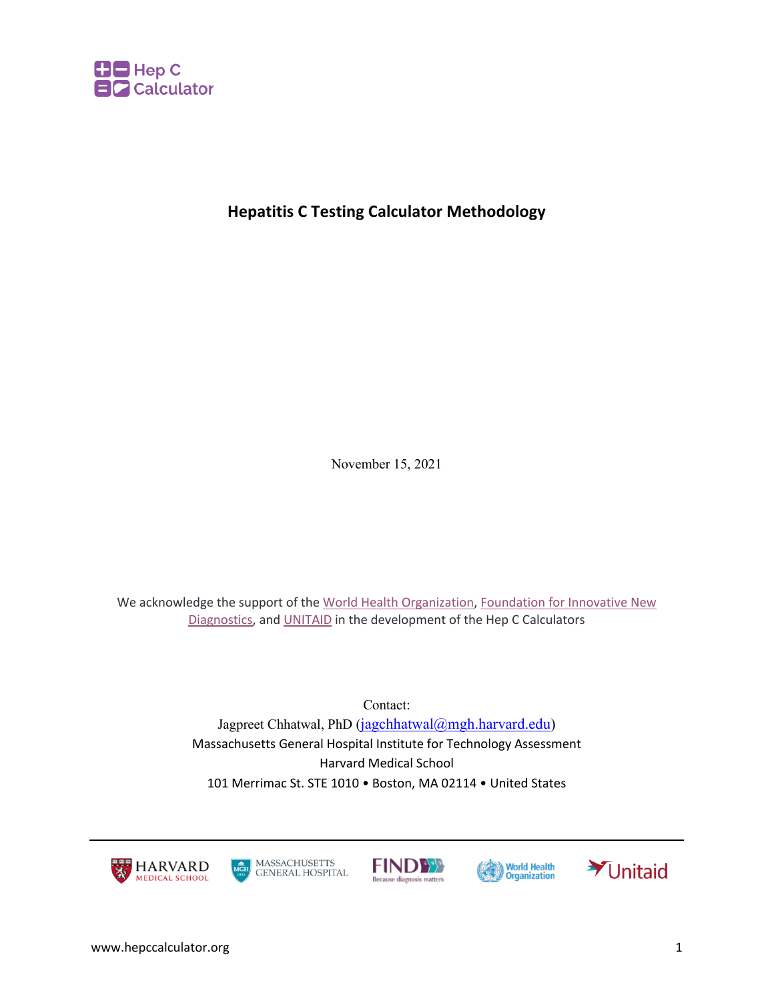

# **Hepatitis C Testing Calculator Methodology**

November 15, 2021

We acknowledge the support of the World Health Organization, Foundation for Innovative New Diagnostics, and UNITAID in the development of the Hep C Calculators

> Contact: Jagpreet Chhatwal, PhD (jagchhatwal@mgh.harvard.edu) Massachusetts General Hospital Institute for Technology Assessment Harvard Medical School 101 Merrimac St. STE 1010 • Boston, MA 02114 • United States









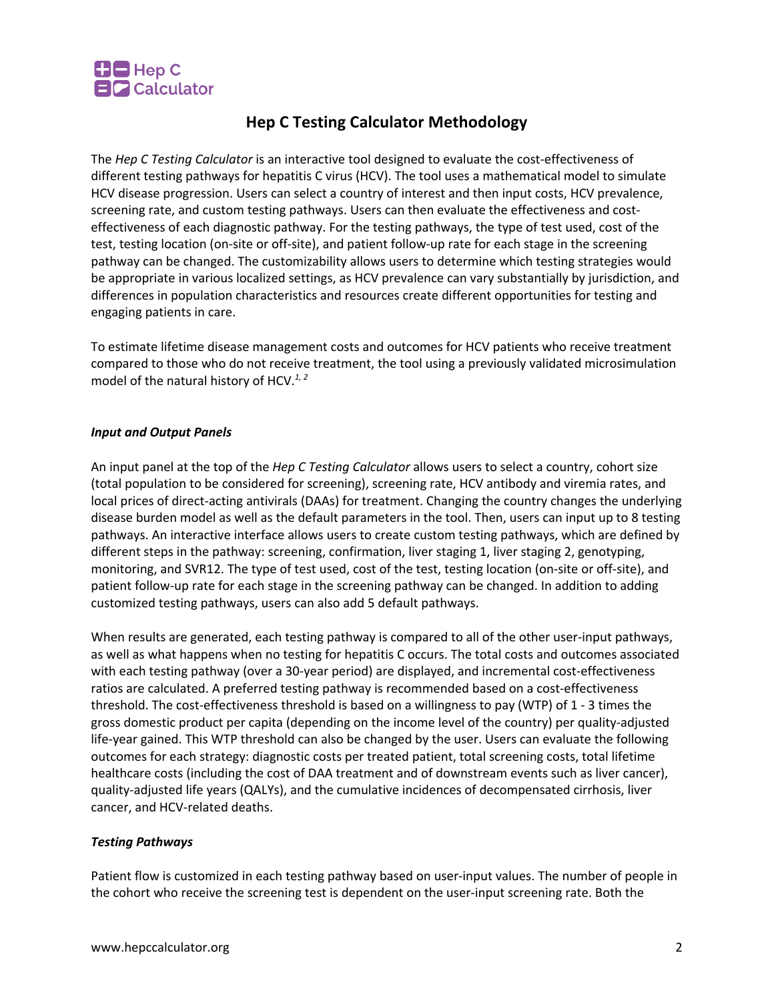

## **Hep C Testing Calculator Methodology**

The *Hep C Testing Calculator* is an interactive tool designed to evaluate the cost-effectiveness of different testing pathways for hepatitis C virus (HCV). The tool uses a mathematical model to simulate HCV disease progression. Users can select a country of interest and then input costs, HCV prevalence, screening rate, and custom testing pathways. Users can then evaluate the effectiveness and costeffectiveness of each diagnostic pathway. For the testing pathways, the type of test used, cost of the test, testing location (on-site or off-site), and patient follow-up rate for each stage in the screening pathway can be changed. The customizability allows users to determine which testing strategies would be appropriate in various localized settings, as HCV prevalence can vary substantially by jurisdiction, and differences in population characteristics and resources create different opportunities for testing and engaging patients in care.

To estimate lifetime disease management costs and outcomes for HCV patients who receive treatment compared to those who do not receive treatment, the tool using a previously validated microsimulation model of the natural history of HCV.*1, 2*

#### *Input and Output Panels*

An input panel at the top of the *Hep C Testing Calculator* allows users to select a country, cohort size (total population to be considered for screening), screening rate, HCV antibody and viremia rates, and local prices of direct-acting antivirals (DAAs) for treatment. Changing the country changes the underlying disease burden model as well as the default parameters in the tool. Then, users can input up to 8 testing pathways. An interactive interface allows users to create custom testing pathways, which are defined by different steps in the pathway: screening, confirmation, liver staging 1, liver staging 2, genotyping, monitoring, and SVR12. The type of test used, cost of the test, testing location (on-site or off-site), and patient follow-up rate for each stage in the screening pathway can be changed. In addition to adding customized testing pathways, users can also add 5 default pathways.

When results are generated, each testing pathway is compared to all of the other user-input pathways, as well as what happens when no testing for hepatitis C occurs. The total costs and outcomes associated with each testing pathway (over a 30-year period) are displayed, and incremental cost-effectiveness ratios are calculated. A preferred testing pathway is recommended based on a cost-effectiveness threshold. The cost-effectiveness threshold is based on a willingness to pay (WTP) of 1 - 3 times the gross domestic product per capita (depending on the income level of the country) per quality-adjusted life-year gained. This WTP threshold can also be changed by the user. Users can evaluate the following outcomes for each strategy: diagnostic costs per treated patient, total screening costs, total lifetime healthcare costs (including the cost of DAA treatment and of downstream events such as liver cancer), quality-adjusted life years (QALYs), and the cumulative incidences of decompensated cirrhosis, liver cancer, and HCV-related deaths.

#### *Testing Pathways*

Patient flow is customized in each testing pathway based on user-input values. The number of people in the cohort who receive the screening test is dependent on the user-input screening rate. Both the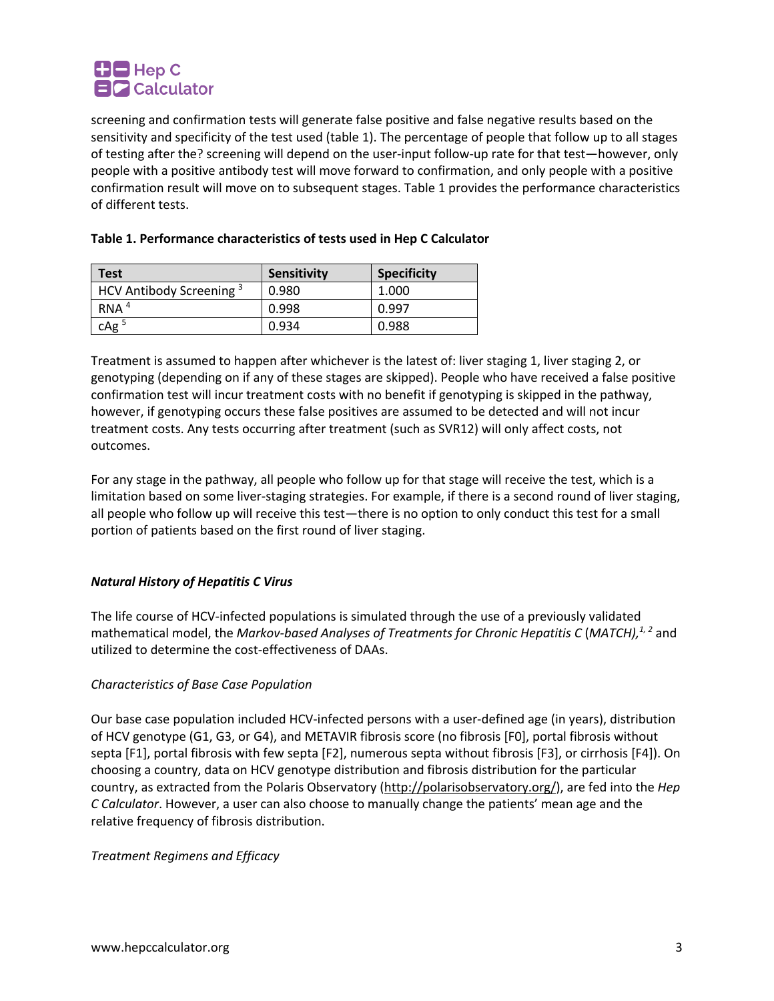

screening and confirmation tests will generate false positive and false negative results based on the sensitivity and specificity of the test used (table 1). The percentage of people that follow up to all stages of testing after the? screening will depend on the user-input follow-up rate for that test—however, only people with a positive antibody test will move forward to confirmation, and only people with a positive confirmation result will move on to subsequent stages. Table 1 provides the performance characteristics of different tests.

| <b>Test</b>                         | Sensitivity | <b>Specificity</b> |
|-------------------------------------|-------------|--------------------|
| HCV Antibody Screening <sup>3</sup> | 0.980       | 1.000              |
| RNA <sup>4</sup>                    | 0.998       | 0.997              |
| cAg <sup>5</sup>                    | 0.934       | 0.988              |

#### **Table 1. Performance characteristics of tests used in Hep C Calculator**

Treatment is assumed to happen after whichever is the latest of: liver staging 1, liver staging 2, or genotyping (depending on if any of these stages are skipped). People who have received a false positive confirmation test will incur treatment costs with no benefit if genotyping is skipped in the pathway, however, if genotyping occurs these false positives are assumed to be detected and will not incur treatment costs. Any tests occurring after treatment (such as SVR12) will only affect costs, not outcomes.

For any stage in the pathway, all people who follow up for that stage will receive the test, which is a limitation based on some liver-staging strategies. For example, if there is a second round of liver staging, all people who follow up will receive this test—there is no option to only conduct this test for a small portion of patients based on the first round of liver staging.

## *Natural History of Hepatitis C Virus*

The life course of HCV-infected populations is simulated through the use of a previously validated mathematical model, the *Markov-based Analyses of Treatments for Chronic Hepatitis C* (*MATCH),1, 2* and utilized to determine the cost-effectiveness of DAAs.

#### *Characteristics of Base Case Population*

Our base case population included HCV-infected persons with a user-defined age (in years), distribution of HCV genotype (G1, G3, or G4), and METAVIR fibrosis score (no fibrosis [F0], portal fibrosis without septa [F1], portal fibrosis with few septa [F2], numerous septa without fibrosis [F3], or cirrhosis [F4]). On choosing a country, data on HCV genotype distribution and fibrosis distribution for the particular country, as extracted from the Polaris Observatory (http://polarisobservatory.org/), are fed into the *Hep C Calculator*. However, a user can also choose to manually change the patients' mean age and the relative frequency of fibrosis distribution.

*Treatment Regimens and Efficacy*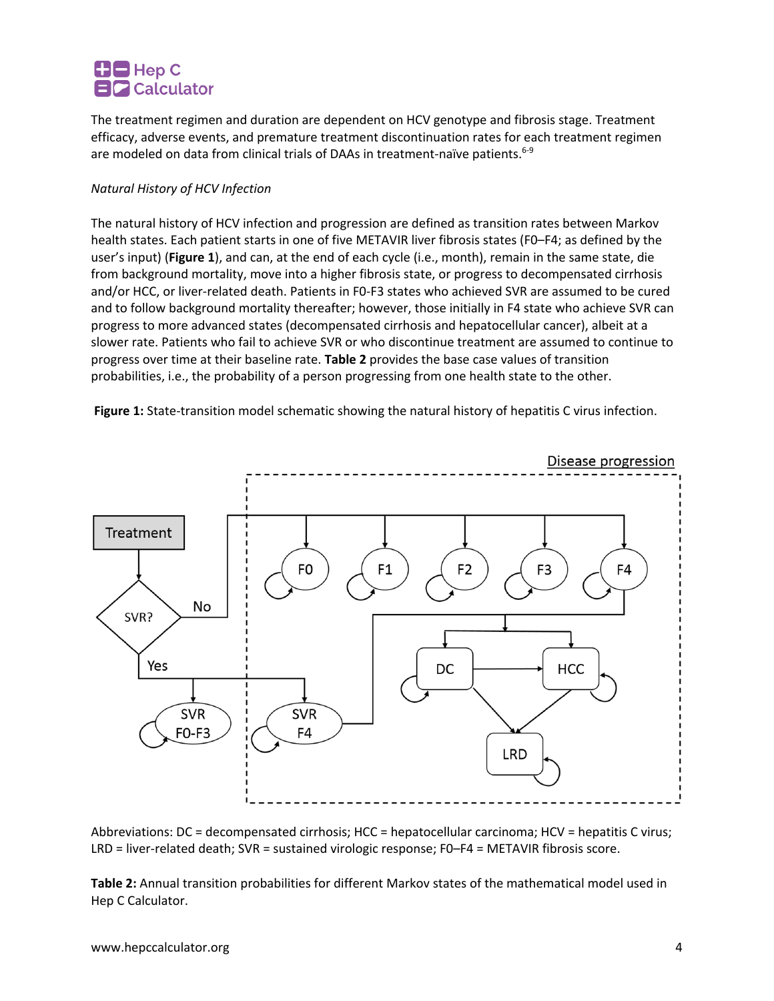# $\Box$  Hep C **EIC** Calculator

The treatment regimen and duration are dependent on HCV genotype and fibrosis stage. Treatment efficacy, adverse events, and premature treatment discontinuation rates for each treatment regimen are modeled on data from clinical trials of DAAs in treatment-naïve patients.<sup>6-9</sup>

## *Natural History of HCV Infection*

The natural history of HCV infection and progression are defined as transition rates between Markov health states. Each patient starts in one of five METAVIR liver fibrosis states (F0–F4; as defined by the user's input) (**Figure 1**), and can, at the end of each cycle (i.e., month), remain in the same state, die from background mortality, move into a higher fibrosis state, or progress to decompensated cirrhosis and/or HCC, or liver-related death. Patients in F0-F3 states who achieved SVR are assumed to be cured and to follow background mortality thereafter; however, those initially in F4 state who achieve SVR can progress to more advanced states (decompensated cirrhosis and hepatocellular cancer), albeit at a slower rate. Patients who fail to achieve SVR or who discontinue treatment are assumed to continue to progress over time at their baseline rate. **Table 2** provides the base case values of transition probabilities, i.e., the probability of a person progressing from one health state to the other.

**Figure 1:** State-transition model schematic showing the natural history of hepatitis C virus infection.



Abbreviations: DC = decompensated cirrhosis; HCC = hepatocellular carcinoma; HCV = hepatitis C virus; LRD = liver-related death; SVR = sustained virologic response; F0–F4 = METAVIR fibrosis score.

**Table 2:** Annual transition probabilities for different Markov states of the mathematical model used in Hep C Calculator.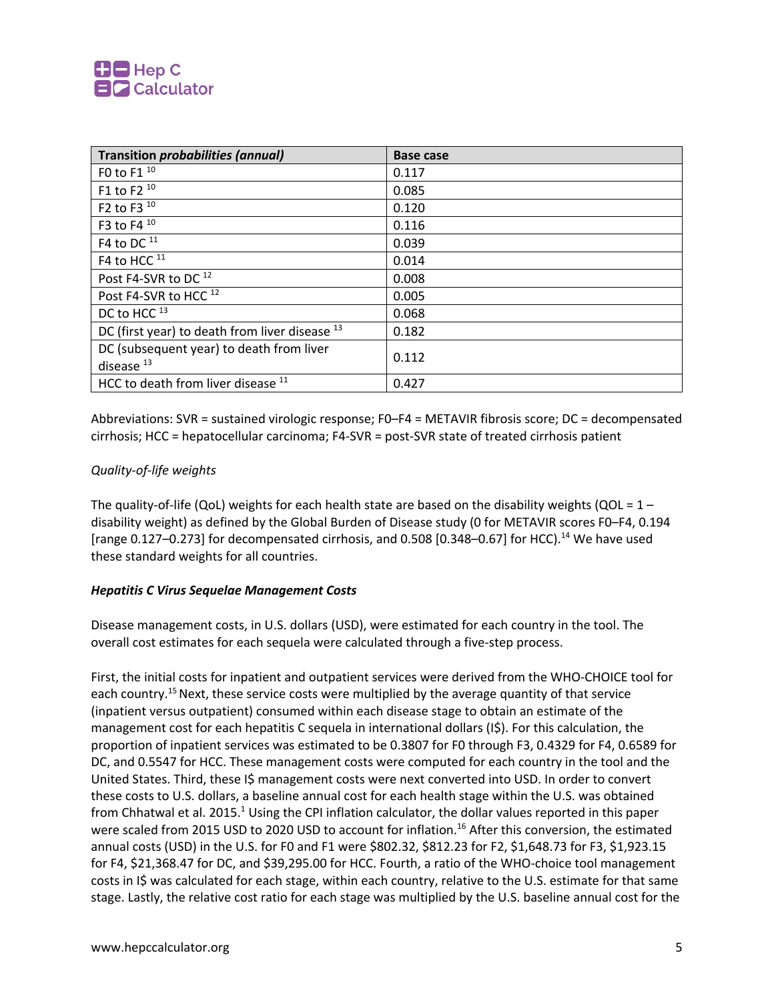

| <b>Transition probabilities (annual)</b>                 | <b>Base case</b> |
|----------------------------------------------------------|------------------|
| F0 to F1 10                                              | 0.117            |
| F1 to F2 $10$                                            | 0.085            |
| F2 to F3 $10$                                            | 0.120            |
| F3 to F4 10                                              | 0.116            |
| F4 to DC $^{11}$                                         | 0.039            |
| F4 to HCC <sup>11</sup>                                  | 0.014            |
| Post F4-SVR to DC <sup>12</sup>                          | 0.008            |
| Post F4-SVR to HCC <sup>12</sup>                         | 0.005            |
| DC to HCC <sup>13</sup>                                  | 0.068            |
| DC (first year) to death from liver disease 13           | 0.182            |
| DC (subsequent year) to death from liver<br>disease $13$ | 0.112            |
| HCC to death from liver disease 11                       | 0.427            |

Abbreviations: SVR = sustained virologic response; F0–F4 = METAVIR fibrosis score; DC = decompensated cirrhosis; HCC = hepatocellular carcinoma; F4-SVR = post-SVR state of treated cirrhosis patient

#### *Quality-of-life weights*

The quality-of-life (QoL) weights for each health state are based on the disability weights (QOL =  $1$ disability weight) as defined by the Global Burden of Disease study (0 for METAVIR scores F0–F4, 0.194 [range 0.127–0.273] for decompensated cirrhosis, and 0.508 [0.348–0.67] for HCC).<sup>14</sup> We have used these standard weights for all countries.

#### *Hepatitis C Virus Sequelae Management Costs*

Disease management costs, in U.S. dollars (USD), were estimated for each country in the tool. The overall cost estimates for each sequela were calculated through a five-step process.

First, the initial costs for inpatient and outpatient services were derived from the WHO-CHOICE tool for each country.<sup>15</sup> Next, these service costs were multiplied by the average quantity of that service (inpatient versus outpatient) consumed within each disease stage to obtain an estimate of the management cost for each hepatitis C sequela in international dollars (I\$). For this calculation, the proportion of inpatient services was estimated to be 0.3807 for F0 through F3, 0.4329 for F4, 0.6589 for DC, and 0.5547 for HCC. These management costs were computed for each country in the tool and the United States. Third, these I\$ management costs were next converted into USD. In order to convert these costs to U.S. dollars, a baseline annual cost for each health stage within the U.S. was obtained from Chhatwal et al. 2015.<sup>1</sup> Using the CPI inflation calculator, the dollar values reported in this paper were scaled from 2015 USD to 2020 USD to account for inflation.<sup>16</sup> After this conversion, the estimated annual costs (USD) in the U.S. for F0 and F1 were \$802.32, \$812.23 for F2, \$1,648.73 for F3, \$1,923.15 for F4, \$21,368.47 for DC, and \$39,295.00 for HCC. Fourth, a ratio of the WHO-choice tool management costs in I\$ was calculated for each stage, within each country, relative to the U.S. estimate for that same stage. Lastly, the relative cost ratio for each stage was multiplied by the U.S. baseline annual cost for the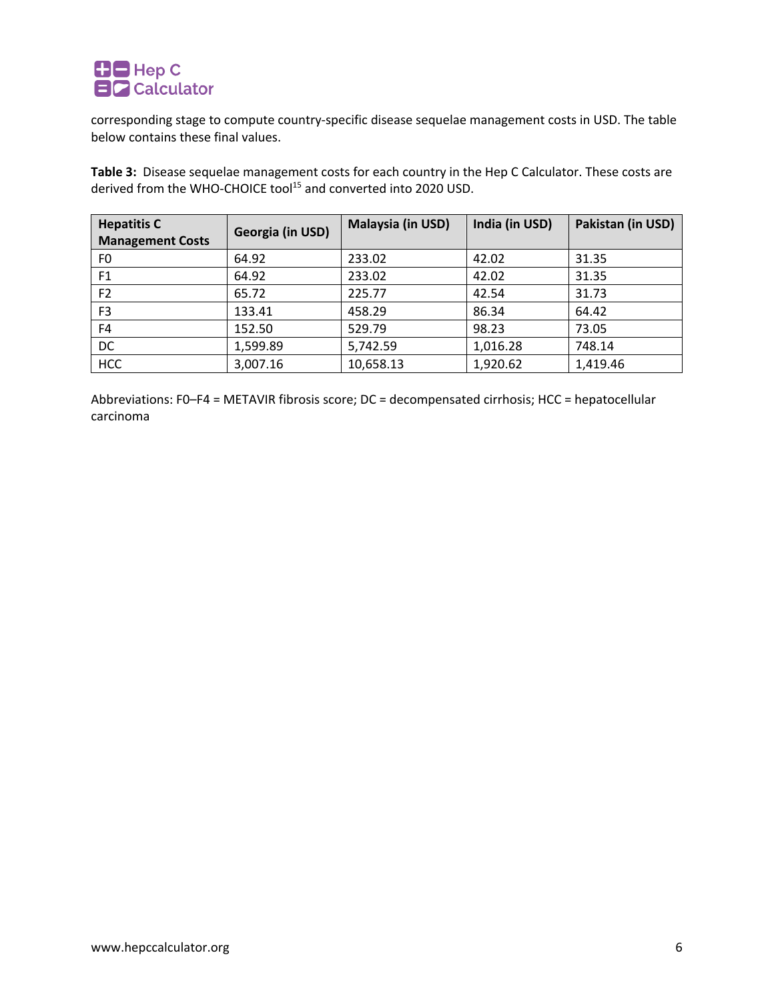

corresponding stage to compute country-specific disease sequelae management costs in USD. The table below contains these final values.

**Table 3:** Disease sequelae management costs for each country in the Hep C Calculator. These costs are derived from the WHO-CHOICE tool15 and converted into 2020 USD.

| <b>Hepatitis C</b><br><b>Management Costs</b> | Georgia (in USD) | Malaysia (in USD) | India (in USD) | Pakistan (in USD) |
|-----------------------------------------------|------------------|-------------------|----------------|-------------------|
| F <sub>0</sub>                                | 64.92            | 233.02            | 42.02          | 31.35             |
| F <sub>1</sub>                                | 64.92            | 233.02            | 42.02          | 31.35             |
| F <sub>2</sub>                                | 65.72            | 225.77            | 42.54          | 31.73             |
| F <sub>3</sub>                                | 133.41           | 458.29            | 86.34          | 64.42             |
| F4                                            | 152.50           | 529.79            | 98.23          | 73.05             |
| <b>DC</b>                                     | 1,599.89         | 5,742.59          | 1,016.28       | 748.14            |
| <b>HCC</b>                                    | 3,007.16         | 10,658.13         | 1,920.62       | 1,419.46          |

Abbreviations: F0–F4 = METAVIR fibrosis score; DC = decompensated cirrhosis; HCC = hepatocellular carcinoma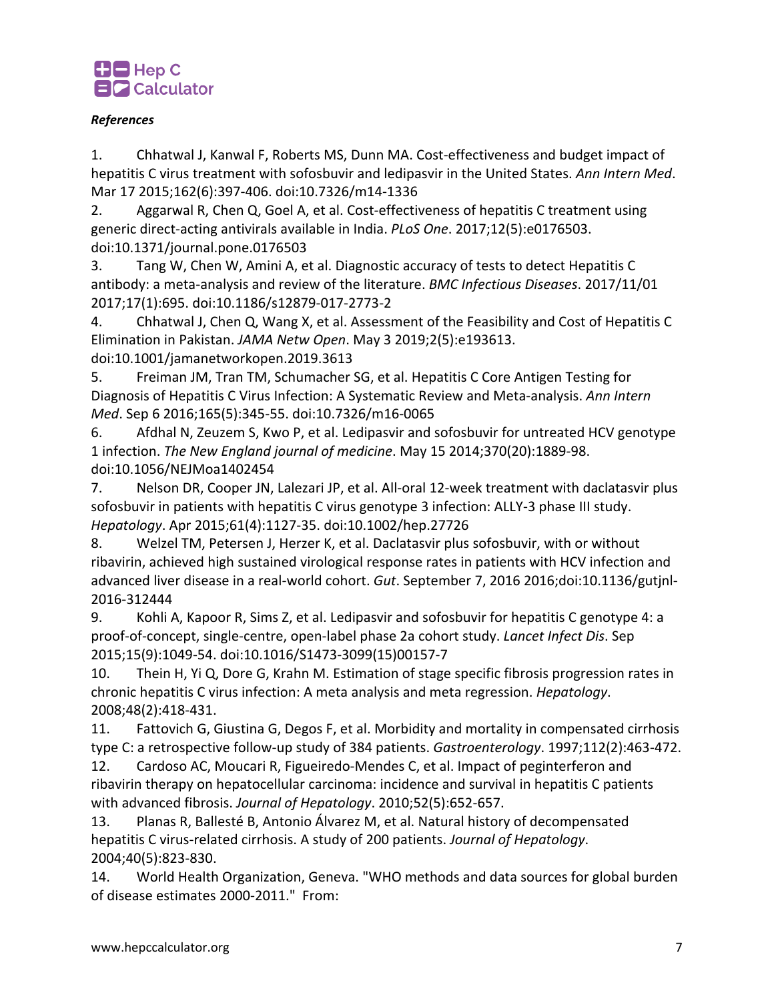

## *References*

1. Chhatwal J, Kanwal F, Roberts MS, Dunn MA. Cost-effectiveness and budget impact of hepatitis C virus treatment with sofosbuvir and ledipasvir in the United States. *Ann Intern Med*. Mar 17 2015;162(6):397-406. doi:10.7326/m14-1336

2. Aggarwal R, Chen Q, Goel A, et al. Cost-effectiveness of hepatitis C treatment using generic direct-acting antivirals available in India. *PLoS One*. 2017;12(5):e0176503. doi:10.1371/journal.pone.0176503

3. Tang W, Chen W, Amini A, et al. Diagnostic accuracy of tests to detect Hepatitis C antibody: a meta-analysis and review of the literature. *BMC Infectious Diseases*. 2017/11/01 2017;17(1):695. doi:10.1186/s12879-017-2773-2

4. Chhatwal J, Chen Q, Wang X, et al. Assessment of the Feasibility and Cost of Hepatitis C Elimination in Pakistan. *JAMA Netw Open*. May 3 2019;2(5):e193613.

doi:10.1001/jamanetworkopen.2019.3613

5. Freiman JM, Tran TM, Schumacher SG, et al. Hepatitis C Core Antigen Testing for Diagnosis of Hepatitis C Virus Infection: A Systematic Review and Meta-analysis. *Ann Intern Med*. Sep 6 2016;165(5):345-55. doi:10.7326/m16-0065

6. Afdhal N, Zeuzem S, Kwo P, et al. Ledipasvir and sofosbuvir for untreated HCV genotype 1 infection. *The New England journal of medicine*. May 15 2014;370(20):1889-98. doi:10.1056/NEJMoa1402454

7. Nelson DR, Cooper JN, Lalezari JP, et al. All-oral 12-week treatment with daclatasvir plus sofosbuvir in patients with hepatitis C virus genotype 3 infection: ALLY-3 phase III study. *Hepatology*. Apr 2015;61(4):1127-35. doi:10.1002/hep.27726

8. Welzel TM, Petersen J, Herzer K, et al. Daclatasvir plus sofosbuvir, with or without ribavirin, achieved high sustained virological response rates in patients with HCV infection and advanced liver disease in a real-world cohort. *Gut*. September 7, 2016 2016;doi:10.1136/gutjnl-2016-312444

9. Kohli A, Kapoor R, Sims Z, et al. Ledipasvir and sofosbuvir for hepatitis C genotype 4: a proof-of-concept, single-centre, open-label phase 2a cohort study. *Lancet Infect Dis*. Sep 2015;15(9):1049-54. doi:10.1016/S1473-3099(15)00157-7

10. Thein H, Yi Q, Dore G, Krahn M. Estimation of stage specific fibrosis progression rates in chronic hepatitis C virus infection: A meta analysis and meta regression. *Hepatology*. 2008;48(2):418-431.

11. Fattovich G, Giustina G, Degos F, et al. Morbidity and mortality in compensated cirrhosis type C: a retrospective follow-up study of 384 patients. *Gastroenterology*. 1997;112(2):463-472.

12. Cardoso AC, Moucari R, Figueiredo-Mendes C, et al. Impact of peginterferon and ribavirin therapy on hepatocellular carcinoma: incidence and survival in hepatitis C patients with advanced fibrosis. *Journal of Hepatology*. 2010;52(5):652-657.

13. Planas R, Ballesté B, Antonio Álvarez M, et al. Natural history of decompensated hepatitis C virus-related cirrhosis. A study of 200 patients. *Journal of Hepatology*. 2004;40(5):823-830.

14. World Health Organization, Geneva. "WHO methods and data sources for global burden of disease estimates 2000-2011." From: